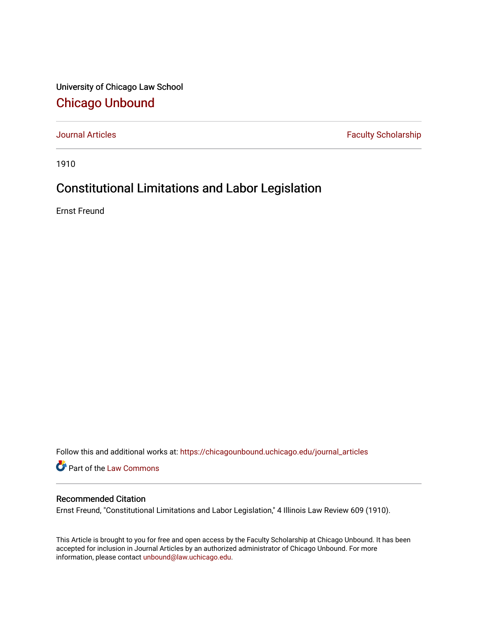University of Chicago Law School [Chicago Unbound](https://chicagounbound.uchicago.edu/)

[Journal Articles](https://chicagounbound.uchicago.edu/journal_articles) **Faculty Scholarship Faculty Scholarship** 

1910

## Constitutional Limitations and Labor Legislation

Ernst Freund

Follow this and additional works at: [https://chicagounbound.uchicago.edu/journal\\_articles](https://chicagounbound.uchicago.edu/journal_articles?utm_source=chicagounbound.uchicago.edu%2Fjournal_articles%2F7802&utm_medium=PDF&utm_campaign=PDFCoverPages) 

Part of the [Law Commons](http://network.bepress.com/hgg/discipline/578?utm_source=chicagounbound.uchicago.edu%2Fjournal_articles%2F7802&utm_medium=PDF&utm_campaign=PDFCoverPages)

## Recommended Citation

Ernst Freund, "Constitutional Limitations and Labor Legislation," 4 Illinois Law Review 609 (1910).

This Article is brought to you for free and open access by the Faculty Scholarship at Chicago Unbound. It has been accepted for inclusion in Journal Articles by an authorized administrator of Chicago Unbound. For more information, please contact [unbound@law.uchicago.edu](mailto:unbound@law.uchicago.edu).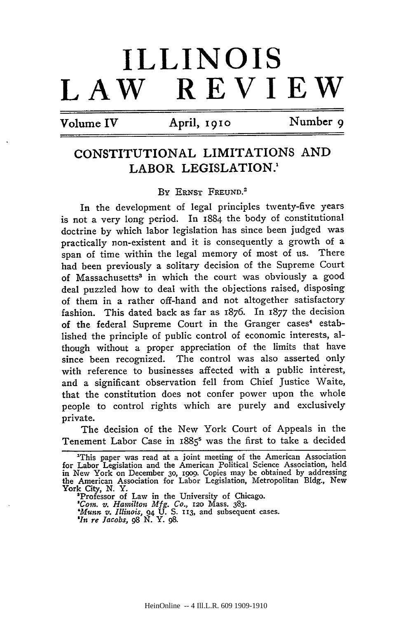## **ILLINOIS REVIEW**

 $Volume IV$  April, 1910 **Number 9** 

## **CONSTITUTIONAL** LIMITATIONS **AND** LABOR LEGISLATION.'

By **ERNST FREUND. <sup>2</sup>**

In the development of legal principles twenty-five years is not a very long period. In 1884 the body of constitutional doctrine by which labor legislation has since been judged was practically non-existent and it is consequently a growth of a span of time within the legal memory of most of us. There had been previously a solitary decision of the Supreme Court of Massachusetts<sup>3</sup> in which the court was obviously a good deal puzzled how to deal with the objections raised, disposing of them in a rather off-hand and not altogether satisfactory fashion. This dated back as far as 1876. In 1877 the decision of the federal Supreme Court in the Granger cases<sup>4</sup> established the principle of public control of economic interests, although without a proper appreciation of the limits that have since been recognized. The control was also asserted only with reference to businesses affected with a public interest, and a significant observation fell from Chief justice Waite, that the constitution does not confer power upon the whole people to control rights which are purely and exclusively private.

The decision of the New York Court of Appeals in the Tenement Labor Case in 1885<sup>5</sup> was the first to take a decided

'Professor of Law in the University of Chicago. *'Coin. v. Hamilton Mfg. Co.,* **120** Mass. **383.** *'Munn V. Illinois,* 94 U. S. **113,** and subsequent cases. *'In re Jacobs, 98* **N.** Y. **98.**

<sup>&#</sup>x27;This paper was read at a joint meeting of the American Association for Labor Legislation and the American Political Science Association, held in New York on December 3o, **19o9.** Copies may be obtained by addressing the American Association for Labor Legislation, Metropolitan Bldg., New York City, **N.** Y.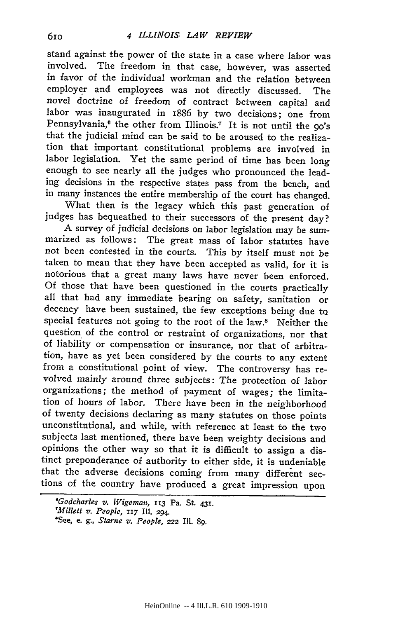stand against the power of the state in a case where labor was involved. The freedom in that case, however, was asserted in favor of the individual workman and the relation between employer and employees was not directly discussed. The novel doctrine of freedom of contract between capital and labor was inaugurated in 1886 by two decisions; one from Pennsylvania,<sup>6</sup> the other from Illinois.<sup>7</sup> It is not until the 90's that the judicial mind can be said to be aroused to the realization that important constitutional problems are involved in labor legislation. Yet the same period of time has been long enough to see nearly all the judges who pronounced the leading decisions in the respective states pass from the bench, and in many instances the entire membership of the court has changed.

What then is the legacy which this past generation of judges has bequeathed to their successors of the present day?

A survey of judicial decisions on labor legislation may be summarized as follows: The great mass of labor statutes have not been contested in the courts. This by itself must not be taken to mean that they have been accepted as valid, for it is notorious that a great many laws have never been enforced. Of those that have been questioned in the courts practically all that had any immediate bearing on safety, sanitation or decency have been sustained, the few exceptions being due tQ special features not going to the root of the law.<sup>8</sup> Neither the question of the control or restraint of organizations, nor that of liability or compensation or insurance, nor that of arbitration, have as yet been considered by the courts to any extent from a constitutional point of view. The controversy has revolved mainly around three subjects: The protection of labor organizations; the method of payment of wages; the limitation of hours of labor. There have been in the neighborhood of twenty decisions declaring as many statutes on those points unconstitutional, and while, with reference at least to the two subjects last mentioned, there have been weighty decisions and opinions the other way so that it is difficult to assign a distinct preponderance of authority to either side, it is undeniable that the adverse decisions coming from many different sections of the country have produced a great impression upon

*<sup>&#</sup>x27;Godcharles v.* Wigeman, 113 Pa. St. 431. *'Millett v. People,* 117 Ill. 294. 'See, e. **g.,** *Starne v. People,* 222 IM. **89.**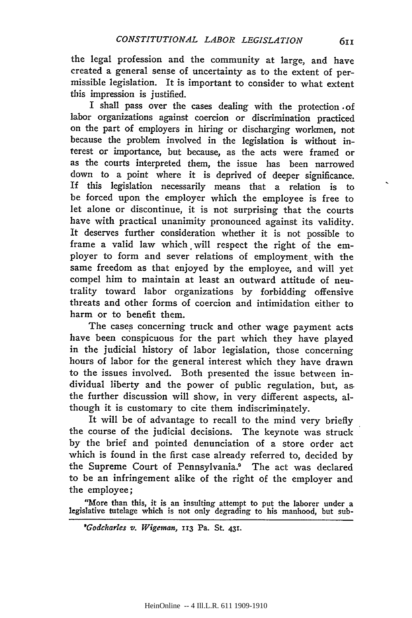the legal profession and the community at large, and have created a general sense of uncertainty as to the extent of permissible legislation. It is important to consider to what extent this impression is justified.

I shall pass over the cases dealing with the protection .of labor organizations against coercion or discrimination practiced on the part of employers in hiring or discharging workmen, not because the problem involved in the legislation is without interest or importance, but because, as the acts were framed or as the courts interpreted them, the issue has been narrowed down to a point where it is deprived of deeper significance. If this legislation necessarily means that a relation is to be forced upon the employer which the employee is free to let alone or discontinue, it is not surprising that the courts have with practical unanimity pronounced against its validity. It deserves further consideration whether it is not possible to frame a valid law which will respect the right of the employer to form and sever relations of employment with the same freedom as that enjoyed by the employee, and will yet compel him to maintain at least an outward attitude of neutrality toward labor organizations by forbidding offensive threats and other forms of coercion and intimidation either to harm or to benefit them.

The cases concerning truck and other wage payment acts have been conspicuous for the part which they have played in the judicial history of labor legislation, those concerning hours of labor for the general interest which they have drawn to the issues involved. Both presented the issue between individual liberty and the power of public regulation, but, as. the further discussion will show, in very different aspects, although it is customary to cite them indiscriminately.

It will be of advantage to recall to the mind very briefly the course of the judicial decisions. The keynote was struck by the brief and pointed denunciation of a store order act which is found in the first case already referred to, decided by the Supreme Court of Pennsylvania.9 The act was declared to be an infringement alike of the right of the employer and the employee;

"More than this, it is an insulting attempt to put the laborer under a legislative tutelage which is not only degrading to his manhood, but sub-

*'Godcharles v. Wigeman,* **113** Pa. St. **431.**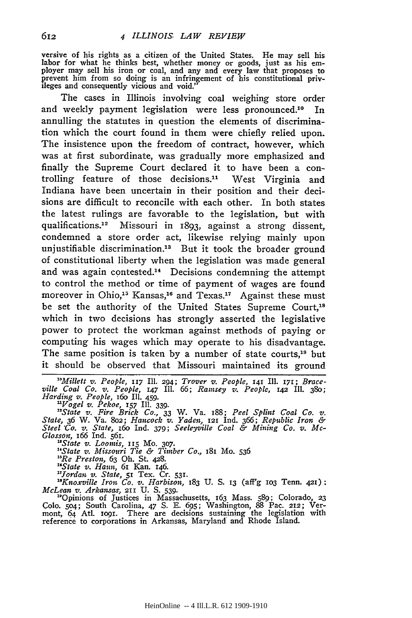versive of his rights as a citizen of the United States. He may sell his labor for what he thinks best, whether money or goods, just as his em-<br>ployer may sell his iron or coal, and any and every law that proposes to prevent him from so doing is an infringement of his constitutional priv- ileges and consequently vicious and void."

The cases in Illinois involving coal weighing store order and weekly payment legislation were less pronounced.<sup>10</sup> In annulling the statutes in question the elements of discrimination which the court found in them were chiefly relied upon. The insistence upon the freedom of contract, however, which was at first subordinate, was gradually more emphasized and finally the Supreme Court declared it to have been a controlling feature of those decisions." West Virginia and Indiana have been uncertain in their position and their decisions are difficult to reconcile with each other. In both states the latest rulings are favorable to the legislation, but with qualifications.<sup>12</sup> Missouri in 1893, against a strong dissent, condemned a store order act, likewise relying mainly upon unjustifiable discrimination.<sup>13</sup> But it took the broader ground of constitutional liberty when the legislation was made general and was again contested.<sup>14</sup> Decisions condemning the attempt to control the method or time of payment of wages are found moreover in Ohio,<sup>15</sup> Kansas,<sup>16</sup> and Texas.<sup>17</sup> Against these must be set the authority of the United States Supreme Court,<sup>18</sup> which in two decisions has strongly asserted the legislative power to protect the workman against methods of paying or computing his wages which may operate to his disadvantage. The same position is taken by a number of state courts,<sup>19</sup> but it should be observed that Missouri maintained its ground

*"Millett v. People,* **117 Il. 294;** *Trover v. People,* **141** Ill. **171;** *Brace***ville** *Coal Co. v. People,* **147 II. 66;** *Ramsey v. People,* **142 II. 38o;** *Harding v. People,* **16o** Ill. 459.

"Vogel v. Pekoe, 157 Ill. 339.<br>"State v. Fire Brick Co., 33 W. Va. 188; Peel Splint Coal Co. v.<br>State, 36 W. Va. 802; Hancock v. Yaden, 121 Ind. 366; Republic Iron & *Steel 'Ca. v. State, i6o* **Ind. 379;** *Seeleyville Coal & Mining Co. v. Mc-Glosson,* **166 Ind. 561.**

*'State v. Loomis,* **115** Mo. **307.** *"State v. Missouri Tie & Timber Co.,* 181 Mo. **536**

*"Re Preston,* **63** Oh. St. 428. *"State v. Haun,* **61** Kan. 146.

*" ordan v. State,* **51** Tex. Cr. **531.**

*"Knoxville Iron Co. v. Harbison,* **183 U. S. 13** (aff'g **lO3** Tenn. **421).** *McLean v. Arkansas,* **211 U. S. 539.** "Opinions of Justices in Massachusetts, 163 Mass. **589;** Colorado, **23**

**Colo. 5o4;** South Carolina, 47 **S. E. 695;** Washington, **88** Pac. **212;** Ver-mont, *64* Ati. io9i. There are decisions sustaining the legislation with reference to corporations in Arkansas, Maryland' and Rhode Island.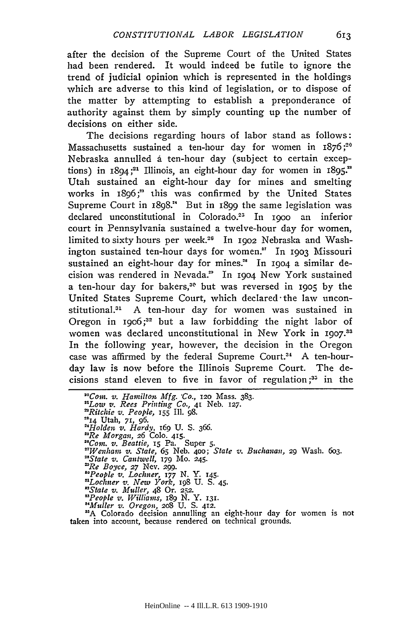after the decision of the Supreme Court of the United States had been rendered. It would indeed be futile to ignore the trend of judicial opinion which is represented in the holdings which are adverse to this kind of legislation, or to dispose of the matter by attempting to establish a preponderance of authority against them by simply counting up the number of decisions on either side.

The decisions regarding hours of labor stand as follows: Massachusetts sustained a ten-hour day for women in  $1876$ ;<sup>20</sup> Nebraska annulled a ten-hour day (subject to certain exceptions) in 1894;<sup>21</sup> Illinois, an eight-hour day for women in 1895.<sup>22</sup> Utah sustained an eight-hour day for mines and smelting works in 1896;" this was confirmed by the United States Supreme Court in 1898." But in 1899 the same legislation was declared unconstitutional in Colorado.<sup>25</sup> In 1900 an inferior court in Pennsylvania sustained a twelve-hour day for women, limited to sixty hours per week.26 In **19o2** Nebraska and Washington sustained ten-hour days for women." In **1903** Missouri sustained an eight-hour day for mines.<sup>28</sup> In 1904 a similar decision was rendered in Nevada." In **19o4** New York sustained a ten-hour day for bakers,31 but was reversed in **1905** by the United States Supreme Court, which declared-the law unconstitutional.<sup>31</sup> A ten-hour day for women was sustained in Oregon in 19o6 **;32** but a law forbidding the night labor of women was declared unconstitutional in New York in **I9O7. <sup>3</sup>** In the following year, however, the decision in the Oregon case was affirmed by the federal Supreme Court.<sup>34</sup> A ten-hourday law is now before the Illinois Supreme Court. The decisions stand eleven to five in favor of regulation;<sup>35</sup> in the

*"Com. v. Hamilton. Mfg. 'Co.,* **120** Mass. **383.** *"Low v. Rees Printing Co.,* **41** Neb. **127.** *'Ritchie v. People,* 155 **Il1.** 98. **"24** Utah, **71, 96.** *"Holden* v. *Hardy,* 169 U. S. *366. "Re Morgan, 26* **Colo.** 415. *"Com. v. Beattie,* 15 Pa. Super **5.** *"Wenham v. State,* **65** Neb. **4oo;** *State v. Buchanan,* 29 Wash. 6o3. *"State v. Cantwell,* **179** Mo. 245. *'Re Boyce,* **27** Nev. 299. *"People v. Lochner,* **177 N.** Y. **145.** *"Lochner v. New York, ig8* **U. S.** 45. *"State v. Muller,* 48 Or. **252.** *"People* v. *Williams,* i89 N. Y. **131.** "Muller v. *Oregon,* **2o8** U. **S.** 412.

**"A** Colorado decision annulling an eight-hour day for women is not taken into account, because rendered on technical grounds.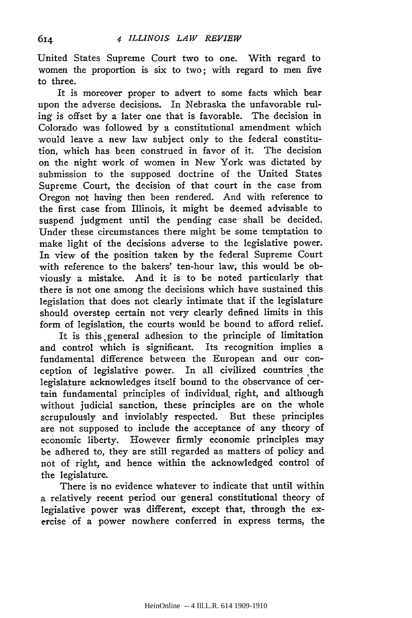United States Supreme Court two to one. With regard to women the proportion is six to two; with regard to men five to three.

It is moreover proper to advert to some facts which bear upon the adverse decisions. In Nebraska the unfavorable ruling is offset by a later one that is favorable. The decision in Colorado was followed by a constitutional amendment which would leave a new law subject only to the federal constitution, which has been construed in favor of it. The decision on the night work of women in New York was dictated by submission to the supposed doctrine of the United States Supreme Court, the decision of that court in the case from Oregon not having then been rendered. And with reference to the first case from Illinois, it might be deemed advisable to suspend judgment until the pending case shall be decided. Under these circumstances there might be some temptation to make light of the decisions adverse to the legislative power. In view of the position taken by the federal Supreme Court with reference to the bakers' ten-hour law, this would be obviously a mistake. And it is to be noted particularly that there is not one among the decisions which have sustained this legislation that does not clearly intimate that if the legislature should overstep certain not very clearly defined limits in this form of legislation, the courts would be bound to afford relief.

It is this ,general adhesion to the principle of limitation and control which is significant. Its recognition implies a fundamental difference between the European and our conception of legislative power. In all civilized countries the legislature acknowledges itself bound to the observance of certain fundamental principles of individual, right, and although without judicial sanction, these principles are on the whole scrupulously and inviolably respected. But these principles are not supposed to include the acceptance of any theory of economic liberty. However firmly economic principles may be adhered to, they are still regarded as matters of policy and not of right, and hence within the acknowledged control of the legislature.

There is no evidence whatever to indicate that until within a relatively recent period our general constitutional theory of legislative power was different, except that, through the exercise of a power nowhere conferred in express terms, the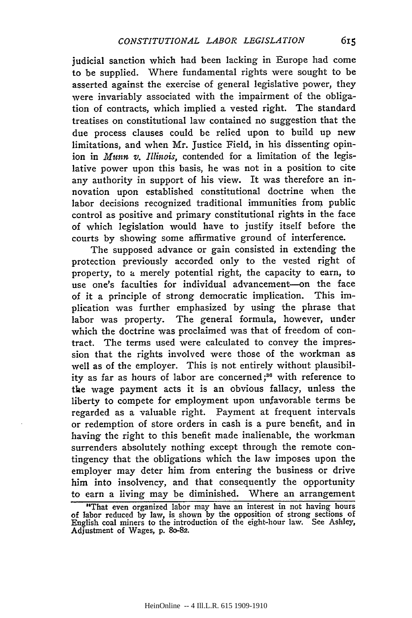judicial sanction which had been lacking in Europe had come to be supplied. Where fundamental rights were sought to be asserted against the exercise of general legislative power, they were invariably associated with the impairment of the obligation of contracts, which implied a vested right. The standard treatises on constitutional law contained no suggestion that the due process clauses could be relied upon to build up new limitations, and when Mr. Justice Field, in his dissenting opinion in *Munn v. Illinois,* contended for a limitation of the legislative power upon this basis, he was not in a position to cite any authority in support of his view. It was therefore an innovation upon established constitutional doctrine when the labor decisions recognized traditional immunities from public control as positive and primary constitutional rights in the face of which legislation would have to justify itself before the courts by showing some affirmative ground of interference.

The supposed advance or gain consisted in extending the protection previously accorded only to the vested right of property, to a merely potential right, the capacity to earn, to use one's faculties for individual advancement-on the face of it a principle of strong democratic implication. This implication was further emphasized by using the phrase that labor was property. The general formula, however, under which the doctrine was proclaimed was that of freedom of contract. The terms used were calculated to convey the impression that the rights involved were those of the workman as well as of the employer. This is not entirely without plausibility as far as hours of labor are concerned **;3<sup>6</sup>**with reference to the wage payment acts it is an obvious fallacy, unless the liberty to compete for employment upon unfavorable terms be regarded as a valuable right. Payment at frequent intervals or redemption of store orders in cash is a pure benefit, and in having the right to this benefit made inalienable, the workman surrenders absolutely nothing except through the remote contingency that the obligations which the law imposes upon the employer may deter him from entering the business or drive him into insolvency, and that consequently the opportunity to earn a living may be diminished. Where an arrangement

<sup>&</sup>quot;That even organized labor may have an interest in not having hours of labor reduced by law, is shown by the opposition of strong sections of English coal miners to the introduction of the eight-hour law. See Ashley, Adjustment of Wages, **p. 80-82.**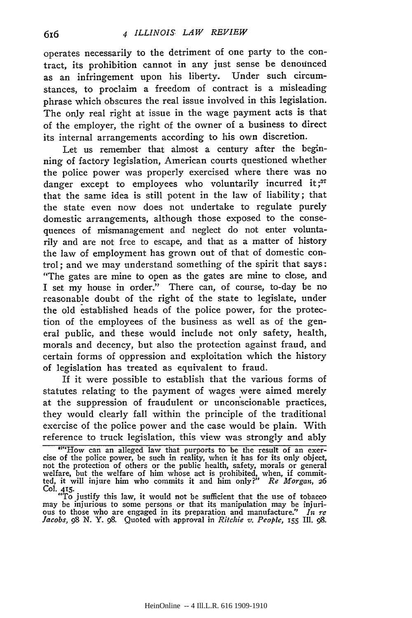operates necessarily to the detriment of one party to the contract, its prohibition cannot in any just sense be denounced as an infringement upon his liberty. Under such circumstances, to proclaim a freedom of contract is a misleading phrase which obscures the real issue involved in this legislation. The only real right at issue in the wage payment acts is that of the employer, the right of the owner of a business to direct its internal arrangements according to his own discretion.

Let us remember that almost a century after the beginning of factory legislation, American courts questioned whether the police power was properly exercised where there was no danger except to employees who voluntarily incurred it;<sup>37</sup> that the same idea is still potent in the law of liability; that the state even now does not undertake to regulate purely domestic arrangements, although those exposed to the consequences of mismanagement and neglect do not enter voluntarily and are not free to escape, and that as a matter of history the law of employment has grown out of that of domestic control; and we may understand something of the spirit that says: "The gates are mine to open as the gates are mine to close, and I set my house in order." There can, of course, to-day be no reasonable doubt of the right of the state to legislate, under the old established heads of the police power, for the protection of the employees of the business as well as of the general public, and these would include not only safety, health, morals and decency, but also the protection against fraud, and certain forms of oppression and exploitation which the history of legislation has treated as equivalent to fraud.

If it were possible to establish that the various forms of statutes relating to the payment of wages were aimed merely at the suppression of fraudulent or unconscionable practices, they would clearly fall within the principle of the traditional exercise of the police power and the case would be plain. With reference to truck legislation, this view was strongly and ably

<sup>&</sup>quot;"How can an alleged law that purports to be the result of an exercise of the police power, be such in reality, when it has for its only object, not the protection of others or the public health, safety, morals or general welfare, but the welfare of him whose act is prohibited, when, if commit-ted, it will injure him who commits it and him only?" *Re Morgan, 26* Col. 415. "To justify this law, it would not be sufficient that the use of tobacco

may be injurious to some persons or that its manipulation may be injurious to those who are engaged in its preparation and manufacture." In re<br>Jacobs, 98 N. Y. 98. Quoted with approval in Ritchie v. People, 155 Ill. 98.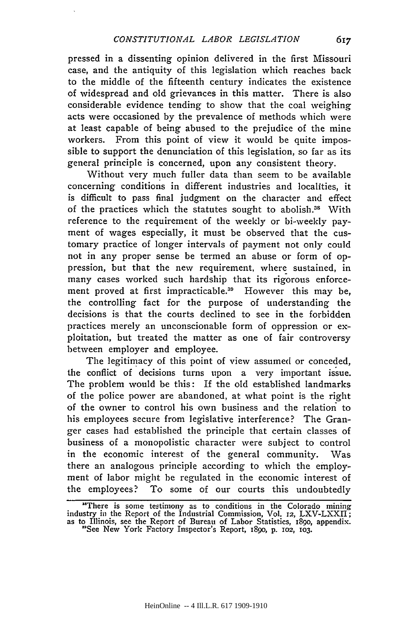pressed in a dissenting opinion delivered in the first Missouri case, and the antiquity of this legislation which reaches back to the middle of the fifteenth century indicates the existence of widespread and old grievances in this matter. There is also considerable evidence tending to show that the coal weighing acts were occasioned by the prevalence of methods which were at least capable of being abused to the prejudice of the mine workers. From this point of view it would be quite impossible to support the denunciation of this legislation, so far as its general principle is concerned, upon any consistent theory.

Without very much fuller data than seem to be available concerning conditions in different industries and localities, it is difficult to pass final judgment on the character and effect of the practices which the statutes sought to abolish.<sup>38</sup> With reference to the requirement of the weekly or bi-weekly payment of wages especially, it must be observed that the customary practice of longer intervals of payment not only could not in any proper sense be termed an abuse or form of oppression, but that the new requirement, where sustained, in many cases worked such hardship that its rigorous enforcement proved at first impracticable.<sup>39</sup> However this may be, the controlling fact for the purpose of understanding the decisions is that the courts declined to see in the forbidden practices merely an unconscionable form of oppression or exploitation, but treated the matter as one of fair controversy between employer and employee.

The legitimacy of this point of view assumed or conceded, the conflict of decisions turns upon a very important issue. The problem would be this: If the old established landmarks of the police power are abandoned, at what point is the right of the owner to control his own business and the relation to his employees secure from legislative interference? The Granger cases had established the principle that certain classes of business of a monopolistic character were subject to control in the economic interest of the general community. Was there an analogous principle according to which the employment of labor might be regulated in the economic interest of the employees? To some of our courts this undoubtedly

<sup>&</sup>quot;There is some testimony as to conditions in the Colorado mining industry in the Report of the Industrial Commission, Vol. 12, LXV-LXXII; industry in the Report of Bureau of Labor Statistics, 1890, appendix.<br>
<sup>2</sup>See New York Factory Inspector's Report, 1890, p. 102, 103.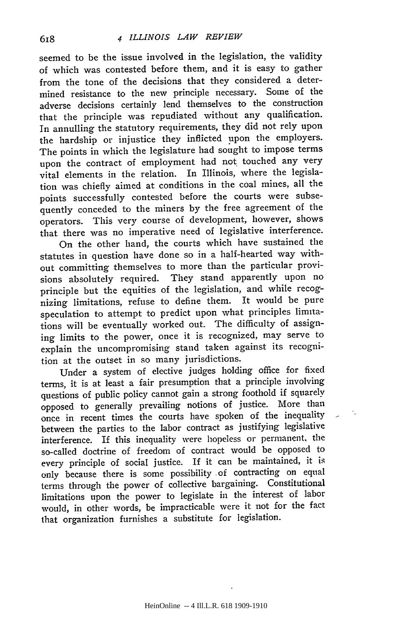seemed to be the issue involved in the legislation, the validity of which was contested before them, and it is easy to gather from the tone of the decisions that they considered a determined resistance to the new principle necessary. Some of the adverse decisions certainly lend themselves to the construction that the principle was repudiated without any qualification. In annulling the statutory requirements, they did not rely upon the hardship or injustice they inflicted upon the employers. The points in which the legislature had sought to impose terms upon the contract of employment had not touched any very vital elements in the relation. In Illinois, where the legislation was chiefly aimed at conditions in the coal mines, all the points successfully contested before the courts were subsequently conceded to the miners by the free agreement of the operators. This very course of development, however, shows that there was no imperative need of legislative interference.

On the other hand, the courts which have sustained the statutes in question have done so in a half-hearted way without committing themselves to more than the particular provisions absolutely required. They stand apparently upon no principle but the equities of the legislation, and while recognizing limitations, refuse to define them. It would be pure speculation to attempt to predict upon what principles limitations will be eventually worked out. The difficulty of assigning limits to the power, once it is recognized, may serve to explain the uncompromising stand taken against its recognition at the outset in so many jurisdictions.

Under a system of elective judges holding office for fixed terms, it is at least a fair presumption that a principle involving questions of public policy cannot gain a strong foothold if squarely opposed to generally prevailing notions of justice. More than once in recent times the courts have spoken of the inequality between the parties to the labor contract as justifying legislative interference. If this inequality were hopeless or permanent, the so-called doctrine of freedom of contract would be opposed to every principle of social justice. If it can be maintained, it is only because there is some possibility of contracting on equal terms through the power of collective bargaining. Constitutional limitations upon the power to legislate in the interest of labor would, in other words, be impracticable were it not for the fact that organization furnishes a substitute for legislation.

HeinOnline -- 4 Ill.L.R. 618 1909-1910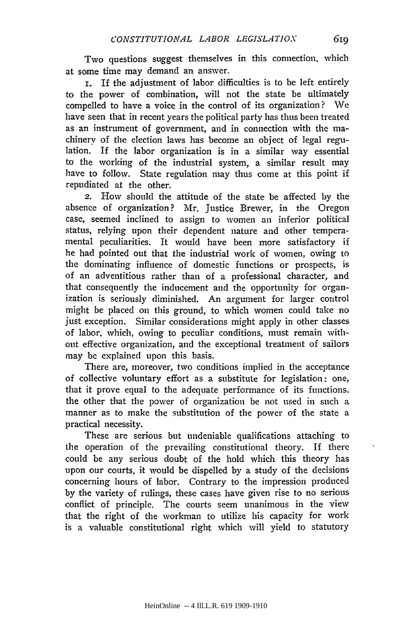Two questions suggest themselves in this connection, which at some time may demand an answer.

i. If the adjustment of labor difficulties is to be left entirely to the power of combination, will not the state be ultimately compelled to have a voice in the control of its organization? We have seen that in recent years the political party has thus been treated as an instrument of government, and in connection with the machinery of the election laws has become an object of legal regulation. If the labor organization is in a similar way essential to the working of the industrial system, a similar result may have to follow. State regulation may thus come at this point if repudiated at the other.

2. How should the attitude of the state be affected by the absence of organization? Mr. Justice Brewer, in the Oregon case, seemed inclined to assign to women an inferior political status, relying upon their dependent nature and other temperamental peculiarities. It would have been more satisfactory if he had pointed out that the industrial work of women, owing to the dominating influence of domestic functions or prospects, is of an adventitious rather than of a professional character, and that consequently the inducement and the opportunity for organization is seriously diminished. An argument for larger control might be placed on this ground, to which women could take no just exception. Similar considerations might apply in other classes of labor, which, owing to peculiar conditions, must remain without effective organization, and the exceptional treatment of sailors may be explained upon this basis.

There are, moreover, two conditions implied in the acceptance of collective voluntary effort as a substitute for legislation: one, that it prove equal to the adequate performance of its functions. the other that the power of organization be not used in such a manner as to make the substitution of the power of the state a practical necessity.

These are serious but undeniable qualifications attaching to the operation of the prevailing constitutional theory. If there could be any serious doubt of the hold which this theory has upon our courts, it would be dispelled by a study of the decisions concerning hours of labor. Contrary to the impression produced by the variety of rulings, these cases have given rise to no serious conflict of principle. The courts seem unanimous in the view that the right of the workman to utilize his capacity for work is a valuable constitutional right which will yield to statutory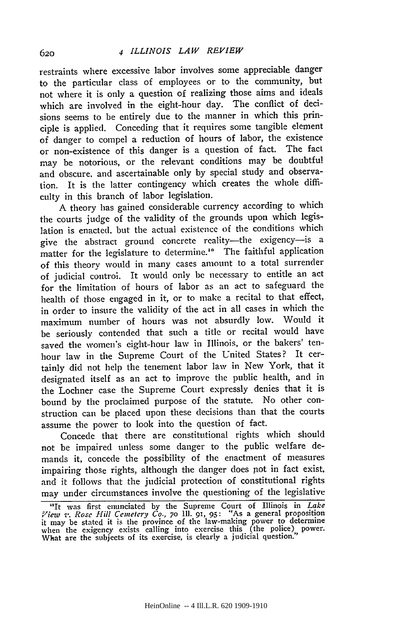restraints where excessive labor involves some appreciable danger to the particular class of employees or to the community, but not where it is only a question of realizing those aims and ideals which are involved in the eight-hour day. The conflict of decisions seems to be entirely due to the manner in which this principle is applied. Conceding that it requires some tangible element of danger to compel a reduction of hours of labor, the existence or non-existence of this danger is a question of fact. The fact may be notorious, or the relevant conditions may be doubtful and obscure. and ascertainable only by special study and observation. It is the latter contingency which creates the whole difficulty in this branch of labor legislation.

A theory has gained considerable currency according to which the courts judge of the validity of the grounds upon which legislation is enacted. but the actual existence of the conditions which give the abstract ground concrete reality-the exigency-is a matter for the legislature to determine." The faithful application of this theory would in many cases amount to a total surrender of judicial control. It would only be necessary to entitle an act for the limitation of hours of labor as an act to safeguard the health of those engaged in it, or to make a recital to that effect, in order to insure the validity of the act in all cases in which the maximum number of hours was not absurdly low. Would it be seriously contended that such a title or recital would have saved the women's eight-hour law in Illinois, or the bakers' tenhour law in the Supreme Court of the United States? It certainly did not help the tenement labor law in New York, that it designated itself as an act to improve the public health, and in the Lochner case the Supreme Court expressly denies that it is bound **by** the proclaimed purpose of the statute. No other construction can be placed upon these decisions than that the courts assume the power to look into the question of fact.

Concede that there are constitutional rights which should not be impaired unless some danger to the public welfare demands it, concede the possibility of the enactment of measures impairing those rights, although the danger does not in fact exist, and it follows that the judicial protection of constitutional rights may under circumstances involve the questioning of the legislative

<sup>&#</sup>x27;It was first enunciated **by** the Supreme Court of Illinois in *Lake View* **-'.** *Rose Hill Cemetcry Co.,* 7o **111.** 91, **95:** "As a general proposition it may be stated **it** is **the** province of the law-making power to determine when the exigency **exists** calling into exercise this (the police) power. What are the subjects of **its** exercise, is clearly a judicial question."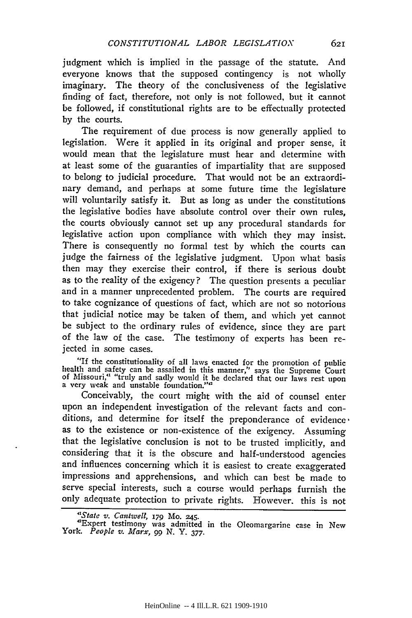judgment which is implied in the passage of the statute. And everyone knows that the supposed contingency is not wholly imaginary. The theory of the conclusiveness of the legislative finding of fact, therefore, not only is not followed, but it cannot be followed, if constitutional rights are to be effectually protected by the courts.

The requirement of due process is now generally applied to legislation. Were it applied in its original and proper sense, it would mean that the legislature must hear and determine with at least some of the guaranties of impartiality that are supposed to belong to judicial procedure. That would not be an extraordinary demand, and perhaps at some future time the legislature will voluntarily satisfy it. But as long as under the constitutions the legislative bodies have absolute control over their own rules, the courts obviously cannot set up any procedural standards for legislative action upon compliance with which they may insist. There is consequently no formal test by which the courts can judge the fairness of the legislative judgment. Upon what basis then may they exercise their control, if there is serious doubt as to the reality of the exigency? The question presents a peculiar and in a manner unprecedented problem. The courts are required to take cognizance of questions of fact, which are not so notorious that judicial notice may be taken of them, and which yet cannot be subject to the ordinary rules of evidence, since they are part of the law of the case. The testimony of experts has been rejected in some cases.

"If the constitutionality of all laws enacted for the promotion of public health and safety can be assailed in this manner," says the Supreme Court of Missouri," "truly and sadly would it be declared that our laws rest upon a very weak and unstable foundation.""

Conceivably, the court might with the aid of counsel enter upon an independent investigation of the relevant facts and conditions, and determine for itself the preponderance of evidence. as to the existence or non-existence of the exigency. Assuming that the legislative conclusion is not to be trusted implicitly, and considering that it is the obscure and half-understood agencies and influences concerning which it is easiest to create exaggerated impressions and apprehensions, and which can best be made to serve special interests, such a course would perhaps furnish the only adequate protection to private rights. However. this is not *"State v. Cantwell,* **179** Mo. **245.**

62т

<sup>&</sup>quot;S*tate v. Cantwell, 17*9 M0. 245.<br>"Expert testimony was admitted in the Oleomargarine case in New York. *People v. Marx, 99* N. Y. *377.*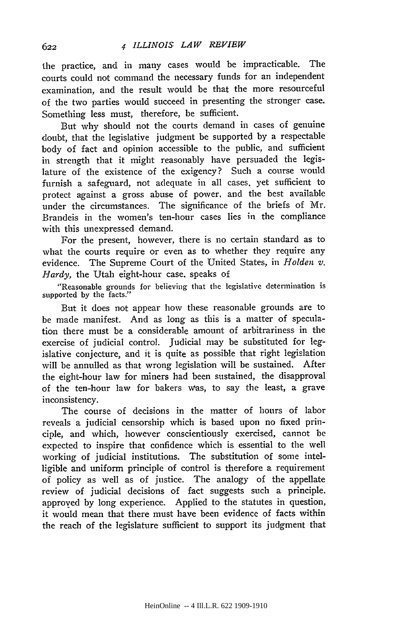the practice, and in many cases would be impracticable. The courts could not command the necessary funds for an independent examination, and the result would be that the more resourceful of the two parties would succeed in presenting the stronger case. Something less must, therefore, be sufficient.

But why should not the courts demand in cases of genuine doubt, that the legislative judgment be supported by a respectable body of fact and opinion accessible to the public, and sufficient in strength that it might reasonably have persuaded the legislature of the existence of the exigency? Such a course would furnish a safeguard, not adequate in all cases, yet sufficient to protect against a gross abuse of power, and the best available under the circumstances. The significance of the briefs of Mr. Brandeis in the women's ten-hour cases lies in the compliance with this unexpressed demand.

For the present, however, there is no certain standard as to what the courts require or even as to whether they require any evidence. The Supreme Court of the United States, in *Holden v. Hardy,* the Utah eight-hour case. speaks of

"Reasonable grounds for believing that the legislative determination is supported by the facts."

But it does not appear how these reasonable grounds are to be made manifest. And as long as this is a matter of speculation there must be a considerable amount of arbitrariness in the exercise of judicial control. judicial may be substituted for legislative conjecture, and it is quite as possible that right legislation will be annulled as that wrong legislation will be sustained. After the eight-hour law for miners had been sustained, the disapproval of the ten-hour law for bakers was, to say the least, a grave inconsistency.

The course of decisions in the matter of hours of labor reveals a judicial censorship which is based upon no fixed principle, and which, however conscientiously exercised, cannot be expected to inspire that confidence which is essential to the well working of judicial institutions. The substitution of some intelligible and uniform principle of control is therefore a requirement of policy as well as of justice. The analogy of the appellate review of judicial decisions of fact suggests such a principle. approved by long experience. Applied to the statutes in question, it would mean that there must have been evidence of facts within the reach of the legislature sufficient to support its judgment that